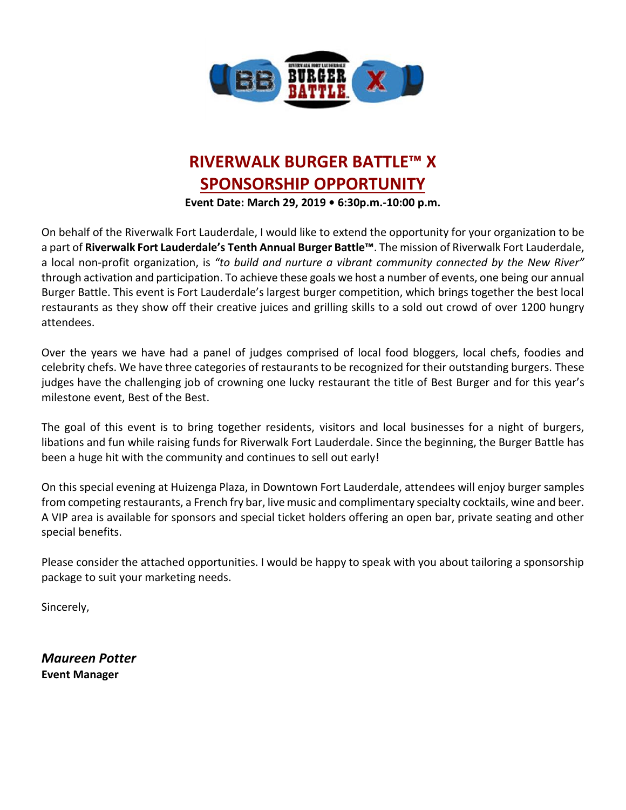

# **RIVERWALK BURGER BATTLE™ X SPONSORSHIP OPPORTUNITY**

**Event Date: March 29, 2019 • 6:30p.m.-10:00 p.m.**

On behalf of the Riverwalk Fort Lauderdale, I would like to extend the opportunity for your organization to be a part of **Riverwalk Fort Lauderdale's Tenth Annual Burger Battle™**. The mission of Riverwalk Fort Lauderdale, a local non-profit organization, is *"to build and nurture a vibrant community connected by the New River"* through activation and participation. To achieve these goals we host a number of events, one being our annual Burger Battle. This event is Fort Lauderdale's largest burger competition, which brings together the best local restaurants as they show off their creative juices and grilling skills to a sold out crowd of over 1200 hungry attendees.

Over the years we have had a panel of judges comprised of local food bloggers, local chefs, foodies and celebrity chefs. We have three categories of restaurants to be recognized for their outstanding burgers. These judges have the challenging job of crowning one lucky restaurant the title of Best Burger and for this year's milestone event, Best of the Best.

The goal of this event is to bring together residents, visitors and local businesses for a night of burgers, libations and fun while raising funds for Riverwalk Fort Lauderdale. Since the beginning, the Burger Battle has been a huge hit with the community and continues to sell out early!

On this special evening at Huizenga Plaza, in Downtown Fort Lauderdale, attendees will enjoy burger samples from competing restaurants, a French fry bar, live music and complimentary specialty cocktails, wine and beer. A VIP area is available for sponsors and special ticket holders offering an open bar, private seating and other special benefits.

Please consider the attached opportunities. I would be happy to speak with you about tailoring a sponsorship package to suit your marketing needs.

Sincerely,

*Maureen Potter* **Event Manager**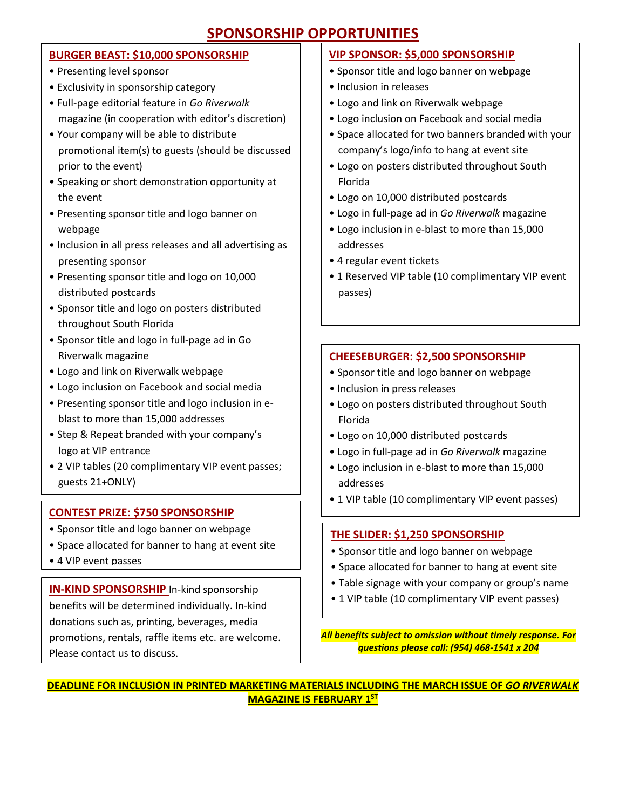### **SPONSORSHIP OPPORTUNITIES**

#### **BURGER BEAST: \$10,000 SPONSORSHIP**

- Presenting level sponsor
- Exclusivity in sponsorship category
- Full‐page editorial feature in *Go Riverwalk* magazine (in cooperation with editor's discretion)
- Your company will be able to distribute promotional item(s) to guests (should be discussed prior to the event)
- Speaking or short demonstration opportunity at the event
- Presenting sponsor title and logo banner on webpage
- Inclusion in all press releases and all advertising as presenting sponsor
- Presenting sponsor title and logo on 10,000 distributed postcards
- Sponsor title and logo on posters distributed throughout South Florida
- Sponsor title and logo in full‐page ad in Go Riverwalk magazine
- Logo and link on Riverwalk webpage
- Logo inclusion on Facebook and social media
- Presenting sponsor title and logo inclusion in eblast to more than 15,000 addresses
- Step & Repeat branded with your company's logo at VIP entrance
- 2 VIP tables (20 complimentary VIP event passes; guests 21+ONLY)

#### **CONTEST PRIZE: \$750 SPONSORSHIP**

- Sponsor title and logo banner on webpage
- Space allocated for banner to hang at event site
- 4 VIP event passes

**IN-KIND SPONSORSHIP** In-kind sponsorship benefits will be determined individually. In-kind donations such as, printing, beverages, media promotions, rentals, raffle items etc. are welcome. Please contact us to discuss.

#### **VIP SPONSOR: \$5,000 SPONSORSHIP**

- Sponsor title and logo banner on webpage
- Inclusion in releases
- Logo and link on Riverwalk webpage
- Logo inclusion on Facebook and social media
- Space allocated for two banners branded with your company's logo/info to hang at event site
- Logo on posters distributed throughout South Florida
- Logo on 10,000 distributed postcards
- Logo in full‐page ad in *Go Riverwalk* magazine
- Logo inclusion in e-blast to more than 15,000 addresses
- 4 regular event tickets
- 1 Reserved VIP table (10 complimentary VIP event passes)

#### **CHEESEBURGER: \$2,500 SPONSORSHIP**

- Sponsor title and logo banner on webpage
- Inclusion in press releases
- Logo on posters distributed throughout South Florida
- Logo on 10,000 distributed postcards
- Logo in full‐page ad in *Go Riverwalk* magazine
- Logo inclusion in e-blast to more than 15,000 addresses
- 1 VIP table (10 complimentary VIP event passes)

#### **THE SLIDER: \$1,250 SPONSORSHIP**

- Sponsor title and logo banner on webpage
- Space allocated for banner to hang at event site
- Table signage with your company or group's name
- 1 VIP table (10 complimentary VIP event passes)

*All benefits subject to omission without timely response. For questions please call: (954) 468-1541 x 204*

**DEADLINE FOR INCLUSION IN PRINTED MARKETING MATERIALS INCLUDING THE MARCH ISSUE OF** *GO RIVERWALK*  **MAGAZINE IS FEBRUARY 1 ST**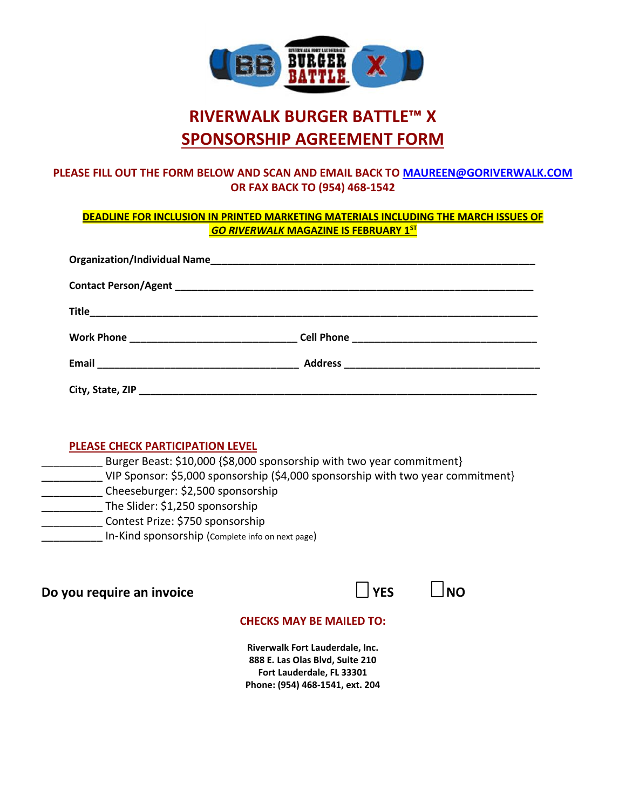

# **RIVERWALK BURGER BATTLE™ X SPONSORSHIP AGREEMENT FORM**

#### **PLEASE FILL OUT THE FORM BELOW AND SCAN AND EMAIL BACK TO [MAUREEN@GORIVERWALK.COM](mailto:maureen@goriverwalk.com) OR FAX BACK TO (954) 468-1542**

#### **DEADLINE FOR INCLUSION IN PRINTED MARKETING MATERIALS INCLUDING THE MARCH ISSUES OF** *GO RIVERWALK* **MAGAZINE IS FEBRUARY 1 ST**

#### **PLEASE CHECK PARTICIPATION LEVEL**

Burger Beast: \$10,000 {\$8,000 sponsorship with two year commitment} VIP Sponsor: \$5,000 sponsorship (\$4,000 sponsorship with two year commitment} \_\_\_\_\_\_\_\_\_\_ Cheeseburger: \$2,500 sponsorship The Slider: \$1,250 sponsorship \_\_\_\_\_\_\_\_\_\_ Contest Prize: \$750 sponsorship In-Kind sponsorship (Complete info on next page)

## **Do you require an invoice**  $\Box$  YES  $\Box$  NO

### **CHECKS MAY BE MAILED TO:**

**Riverwalk Fort Lauderdale, Inc. 888 E. Las Olas Blvd, Suite 210 Fort Lauderdale, FL 33301 Phone: (954) 468-1541, ext. 204**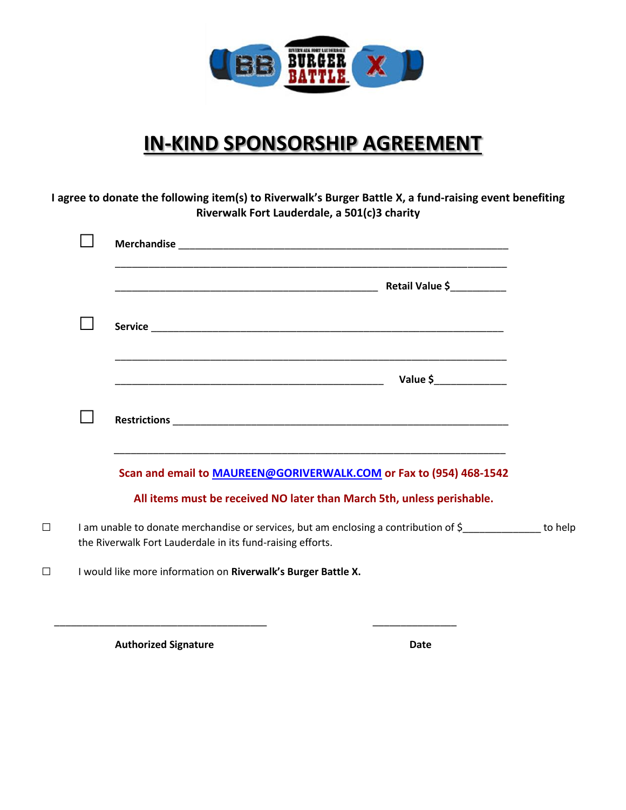

# **IN-KIND SPONSORSHIP AGREEMENT**

**I agree to donate the following item(s) to Riverwalk's Burger Battle X, a fund-raising event benefiting Riverwalk Fort Lauderdale, a 501(c)3 charity**

|                                                                                                                                                                                             | Value \$________________ |
|---------------------------------------------------------------------------------------------------------------------------------------------------------------------------------------------|--------------------------|
|                                                                                                                                                                                             |                          |
| <u> 1989 - Johann John Stoff, deutscher Stoffen und der Stoffen und der Stoffen und der Stoffen und der Stoffen u</u><br>Scan and email to MAUREEN@GORIVERWALK.COM or Fax to (954) 468-1542 |                          |
| All items must be received NO later than March 5th, unless perishable.                                                                                                                      |                          |
| I am unable to donate merchandise or services, but am enclosing a contribution of \$<br>the Riverwalk Fort Lauderdale in its fund-raising efforts.                                          |                          |
| I would like more information on Riverwalk's Burger Battle X.                                                                                                                               |                          |

Authorized Signature **Date** 

\_\_\_\_\_\_\_\_\_\_\_\_\_\_\_\_\_\_\_\_\_\_\_\_\_\_\_\_\_\_\_\_\_\_\_\_\_\_ \_\_\_\_\_\_\_\_\_\_\_\_\_\_\_